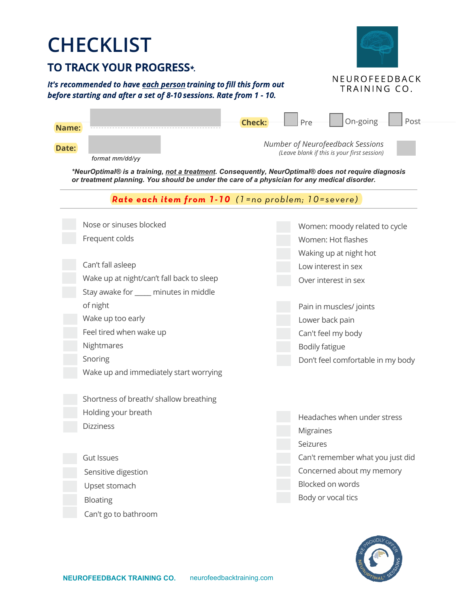# **CHECKLIST**

## **TO TRACK YOUR PROGRESS***\*.*

#### *It's recommended to have each person training to fill this form out before starting and after a set of 8-10 sessions. Rate from 1 - 10.*



| NEUROFEEDBACK |
|---------------|
| TRAINING CO.  |

| Name:                                                                                                                                                                                               | On-going<br>Post<br><b>Check:</b><br>Pre                                        |  |  |  |  |  |
|-----------------------------------------------------------------------------------------------------------------------------------------------------------------------------------------------------|---------------------------------------------------------------------------------|--|--|--|--|--|
| Date:                                                                                                                                                                                               | Number of Neurofeedback Sessions<br>(Leave blank if this is your first session) |  |  |  |  |  |
| format mm/dd/yy                                                                                                                                                                                     |                                                                                 |  |  |  |  |  |
| *NeurOptimal® is a training, not a treatment. Consequently, NeurOptimal® does not require diagnosis<br>or treatment planning. You should be under the care of a physician for any medical disorder. |                                                                                 |  |  |  |  |  |
| Rate each item from 1-10 (1=no problem; 10=severe)                                                                                                                                                  |                                                                                 |  |  |  |  |  |
| Nose or sinuses blocked                                                                                                                                                                             | Women: moody related to cycle                                                   |  |  |  |  |  |
| Frequent colds                                                                                                                                                                                      | Women: Hot flashes                                                              |  |  |  |  |  |
|                                                                                                                                                                                                     | Waking up at night hot                                                          |  |  |  |  |  |
| Can't fall asleep                                                                                                                                                                                   | Low interest in sex                                                             |  |  |  |  |  |
| Wake up at night/can't fall back to sleep                                                                                                                                                           | Over interest in sex                                                            |  |  |  |  |  |
| Stay awake for ____ minutes in middle                                                                                                                                                               |                                                                                 |  |  |  |  |  |
| of night                                                                                                                                                                                            | Pain in muscles/ joints                                                         |  |  |  |  |  |
| Wake up too early                                                                                                                                                                                   | Lower back pain                                                                 |  |  |  |  |  |
| Feel tired when wake up                                                                                                                                                                             | Can't feel my body                                                              |  |  |  |  |  |
| Nightmares                                                                                                                                                                                          | <b>Bodily fatigue</b>                                                           |  |  |  |  |  |
| Snoring                                                                                                                                                                                             | Don't feel comfortable in my body                                               |  |  |  |  |  |
| Wake up and immediately start worrying                                                                                                                                                              |                                                                                 |  |  |  |  |  |
| Shortness of breath/ shallow breathing                                                                                                                                                              |                                                                                 |  |  |  |  |  |
| Holding your breath                                                                                                                                                                                 | Headaches when under stress                                                     |  |  |  |  |  |
| <b>Dizziness</b>                                                                                                                                                                                    | <b>Migraines</b>                                                                |  |  |  |  |  |
|                                                                                                                                                                                                     | Seizures                                                                        |  |  |  |  |  |
| <b>Gut Issues</b>                                                                                                                                                                                   | Can't remember what you just did                                                |  |  |  |  |  |
| Sensitive digestion                                                                                                                                                                                 | Concerned about my memory                                                       |  |  |  |  |  |
| Upset stomach                                                                                                                                                                                       | Blocked on words                                                                |  |  |  |  |  |
|                                                                                                                                                                                                     | Body or vocal tics                                                              |  |  |  |  |  |